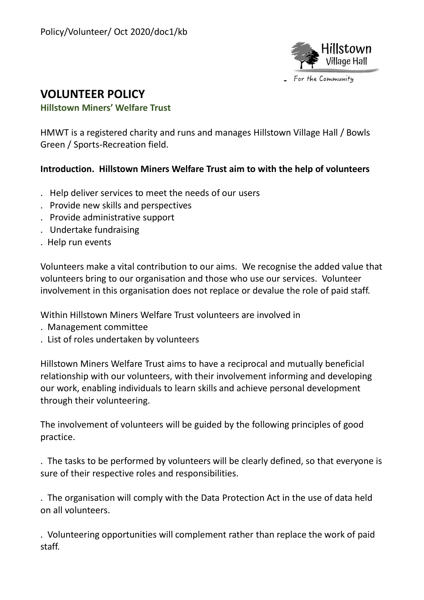

# **VOLUNTEER POLICY**

#### **Hillstown Miners' Welfare Trust**

HMWT is a registered charity and runs and manages Hillstown Village Hall / Bowls Green / Sports-Recreation field.

## **Introduction. Hillstown Miners Welfare Trust aim to with the help of volunteers**

- . Help deliver services to meet the needs of our users
- . Provide new skills and perspectives
- . Provide administrative support
- . Undertake fundraising
- . Help run events

Volunteers make a vital contribution to our aims. We recognise the added value that volunteers bring to our organisation and those who use our services. Volunteer involvement in this organisation does not replace or devalue the role of paid staff.

Within Hillstown Miners Welfare Trust volunteers are involved in

- . Management committee
- . List of roles undertaken by volunteers

Hillstown Miners Welfare Trust aims to have a reciprocal and mutually beneficial relationship with our volunteers, with their involvement informing and developing our work, enabling individuals to learn skills and achieve personal development through their volunteering.

The involvement of volunteers will be guided by the following principles of good practice.

. The tasks to be performed by volunteers will be clearly defined, so that everyone is sure of their respective roles and responsibilities.

. The organisation will comply with the Data Protection Act in the use of data held on all volunteers.

. Volunteering opportunities will complement rather than replace the work of paid staff.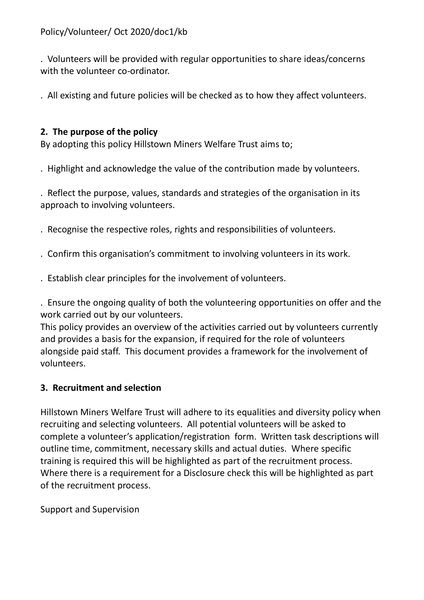. Volunteers will be provided with regular opportunities to share ideas/concerns with the volunteer co-ordinator.

. All existing and future policies will be checked as to how they affect volunteers.

# **2. The purpose of the policy**

By adopting this policy Hillstown Miners Welfare Trust aims to;

. Highlight and acknowledge the value of the contribution made by volunteers.

. Reflect the purpose, values, standards and strategies of the organisation in its approach to involving volunteers.

- . Recognise the respective roles, rights and responsibilities of volunteers.
- . Confirm this organisation's commitment to involving volunteers in its work.
- . Establish clear principles for the involvement of volunteers.

. Ensure the ongoing quality of both the volunteering opportunities on offer and the work carried out by our volunteers.

This policy provides an overview of the activities carried out by volunteers currently and provides a basis for the expansion, if required for the role of volunteers alongside paid staff. This document provides a framework for the involvement of volunteers.

# **3. Recruitment and selection**

Hillstown Miners Welfare Trust will adhere to its equalities and diversity policy when recruiting and selecting volunteers. All potential volunteers will be asked to complete a volunteer's application/registration form. Written task descriptions will outline time, commitment, necessary skills and actual duties. Where specific training is required this will be highlighted as part of the recruitment process. Where there is a requirement for a Disclosure check this will be highlighted as part of the recruitment process.

Support and Supervision